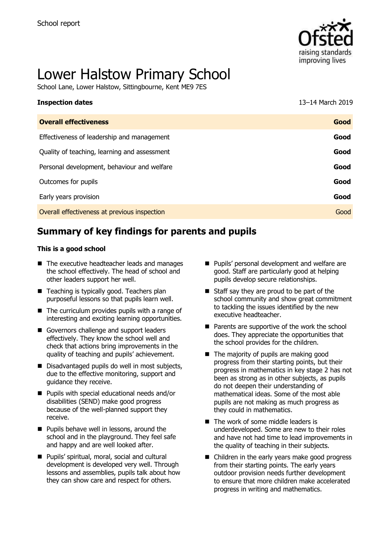

# Lower Halstow Primary School

School Lane, Lower Halstow, Sittingbourne, Kent ME9 7ES

| <b>Inspection dates</b>                      | 13-14 March 2019 |
|----------------------------------------------|------------------|
| <b>Overall effectiveness</b>                 | Good             |
| Effectiveness of leadership and management   | Good             |
| Quality of teaching, learning and assessment | Good             |
| Personal development, behaviour and welfare  | Good             |
| Outcomes for pupils                          | Good             |
| Early years provision                        | Good             |
| Overall effectiveness at previous inspection | Good             |
|                                              |                  |

# **Summary of key findings for parents and pupils**

#### **This is a good school**

- The executive headteacher leads and manages the school effectively. The head of school and other leaders support her well.
- Teaching is typically good. Teachers plan purposeful lessons so that pupils learn well.
- The curriculum provides pupils with a range of interesting and exciting learning opportunities.
- Governors challenge and support leaders effectively. They know the school well and check that actions bring improvements in the quality of teaching and pupils' achievement.
- Disadvantaged pupils do well in most subjects, due to the effective monitoring, support and guidance they receive.
- Pupils with special educational needs and/or disabilities (SEND) make good progress because of the well-planned support they receive.
- Pupils behave well in lessons, around the school and in the playground. They feel safe and happy and are well looked after.
- Pupils' spiritual, moral, social and cultural development is developed very well. Through lessons and assemblies, pupils talk about how they can show care and respect for others.
- Pupils' personal development and welfare are good. Staff are particularly good at helping pupils develop secure relationships.
- Staff say they are proud to be part of the school community and show great commitment to tackling the issues identified by the new executive headteacher.
- Parents are supportive of the work the school does. They appreciate the opportunities that the school provides for the children.
- The majority of pupils are making good progress from their starting points, but their progress in mathematics in key stage 2 has not been as strong as in other subjects, as pupils do not deepen their understanding of mathematical ideas. Some of the most able pupils are not making as much progress as they could in mathematics.
- The work of some middle leaders is underdeveloped. Some are new to their roles and have not had time to lead improvements in the quality of teaching in their subjects.
- Children in the early years make good progress from their starting points. The early years outdoor provision needs further development to ensure that more children make accelerated progress in writing and mathematics.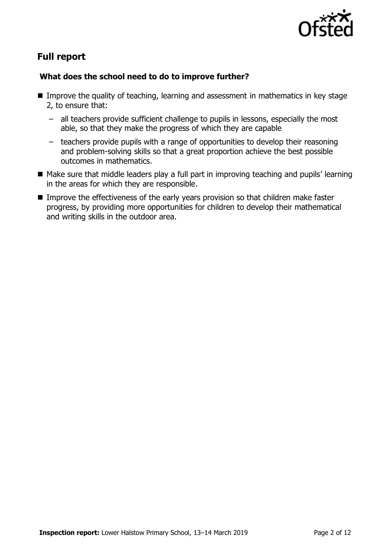

# **Full report**

### **What does the school need to do to improve further?**

- Improve the quality of teaching, learning and assessment in mathematics in key stage 2, to ensure that:
	- all teachers provide sufficient challenge to pupils in lessons, especially the most able, so that they make the progress of which they are capable
	- teachers provide pupils with a range of opportunities to develop their reasoning and problem-solving skills so that a great proportion achieve the best possible outcomes in mathematics.
- Make sure that middle leaders play a full part in improving teaching and pupils' learning in the areas for which they are responsible.
- Improve the effectiveness of the early years provision so that children make faster progress, by providing more opportunities for children to develop their mathematical and writing skills in the outdoor area.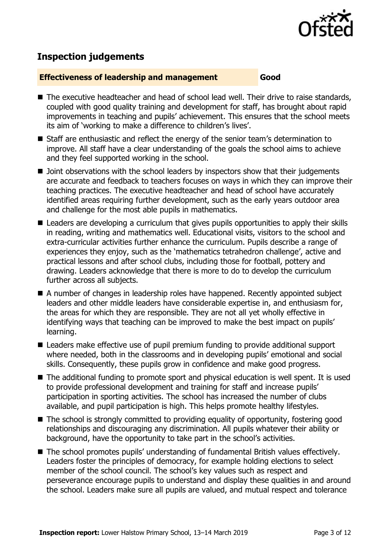

# **Inspection judgements**

#### **Effectiveness of leadership and management Good**

- The executive headteacher and head of school lead well. Their drive to raise standards, coupled with good quality training and development for staff, has brought about rapid improvements in teaching and pupils' achievement. This ensures that the school meets its aim of 'working to make a difference to children's lives'.
- Staff are enthusiastic and reflect the energy of the senior team's determination to improve. All staff have a clear understanding of the goals the school aims to achieve and they feel supported working in the school.
- Joint observations with the school leaders by inspectors show that their judgements are accurate and feedback to teachers focuses on ways in which they can improve their teaching practices. The executive headteacher and head of school have accurately identified areas requiring further development, such as the early years outdoor area and challenge for the most able pupils in mathematics.
- Leaders are developing a curriculum that gives pupils opportunities to apply their skills in reading, writing and mathematics well. Educational visits, visitors to the school and extra-curricular activities further enhance the curriculum. Pupils describe a range of experiences they enjoy, such as the 'mathematics tetrahedron challenge', active and practical lessons and after school clubs, including those for football, pottery and drawing. Leaders acknowledge that there is more to do to develop the curriculum further across all subjects.
- A number of changes in leadership roles have happened. Recently appointed subject leaders and other middle leaders have considerable expertise in, and enthusiasm for, the areas for which they are responsible. They are not all yet wholly effective in identifying ways that teaching can be improved to make the best impact on pupils' learning.
- Leaders make effective use of pupil premium funding to provide additional support where needed, both in the classrooms and in developing pupils' emotional and social skills. Consequently, these pupils grow in confidence and make good progress.
- The additional funding to promote sport and physical education is well spent. It is used to provide professional development and training for staff and increase pupils' participation in sporting activities. The school has increased the number of clubs available, and pupil participation is high. This helps promote healthy lifestyles.
- $\blacksquare$  The school is strongly committed to providing equality of opportunity, fostering good relationships and discouraging any discrimination. All pupils whatever their ability or background, have the opportunity to take part in the school's activities.
- The school promotes pupils' understanding of fundamental British values effectively. Leaders foster the principles of democracy, for example holding elections to select member of the school council. The school's key values such as respect and perseverance encourage pupils to understand and display these qualities in and around the school. Leaders make sure all pupils are valued, and mutual respect and tolerance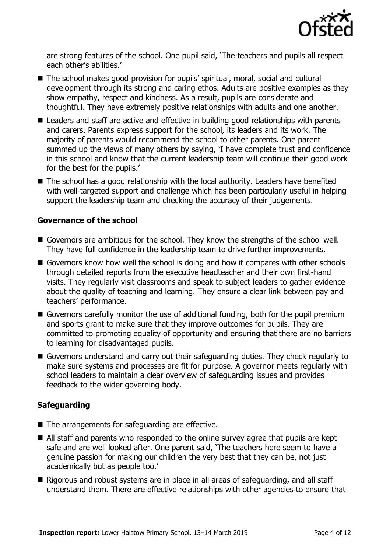

are strong features of the school. One pupil said, 'The teachers and pupils all respect each other's abilities.'

- The school makes good provision for pupils' spiritual, moral, social and cultural development through its strong and caring ethos. Adults are positive examples as they show empathy, respect and kindness. As a result, pupils are considerate and thoughtful. They have extremely positive relationships with adults and one another.
- Leaders and staff are active and effective in building good relationships with parents and carers. Parents express support for the school, its leaders and its work. The majority of parents would recommend the school to other parents. One parent summed up the views of many others by saying, 'I have complete trust and confidence in this school and know that the current leadership team will continue their good work for the best for the pupils.'
- The school has a good relationship with the local authority. Leaders have benefited with well-targeted support and challenge which has been particularly useful in helping support the leadership team and checking the accuracy of their judgements.

#### **Governance of the school**

- Governors are ambitious for the school. They know the strengths of the school well. They have full confidence in the leadership team to drive further improvements.
- Governors know how well the school is doing and how it compares with other schools through detailed reports from the executive headteacher and their own first-hand visits. They regularly visit classrooms and speak to subject leaders to gather evidence about the quality of teaching and learning. They ensure a clear link between pay and teachers' performance.
- Governors carefully monitor the use of additional funding, both for the pupil premium and sports grant to make sure that they improve outcomes for pupils. They are committed to promoting equality of opportunity and ensuring that there are no barriers to learning for disadvantaged pupils.
- Governors understand and carry out their safeguarding duties. They check regularly to make sure systems and processes are fit for purpose. A governor meets regularly with school leaders to maintain a clear overview of safeguarding issues and provides feedback to the wider governing body.

### **Safeguarding**

- The arrangements for safeguarding are effective.
- All staff and parents who responded to the online survey agree that pupils are kept safe and are well looked after. One parent said, 'The teachers here seem to have a genuine passion for making our children the very best that they can be, not just academically but as people too.'
- Rigorous and robust systems are in place in all areas of safeguarding, and all staff understand them. There are effective relationships with other agencies to ensure that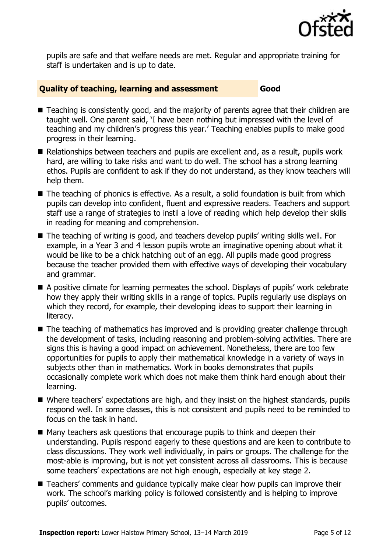

pupils are safe and that welfare needs are met. Regular and appropriate training for staff is undertaken and is up to date.

#### **Quality of teaching, learning and assessment Good**

- Teaching is consistently good, and the majority of parents agree that their children are taught well. One parent said, 'I have been nothing but impressed with the level of teaching and my children's progress this year.' Teaching enables pupils to make good progress in their learning.
- Relationships between teachers and pupils are excellent and, as a result, pupils work hard, are willing to take risks and want to do well. The school has a strong learning ethos. Pupils are confident to ask if they do not understand, as they know teachers will help them.
- The teaching of phonics is effective. As a result, a solid foundation is built from which pupils can develop into confident, fluent and expressive readers. Teachers and support staff use a range of strategies to instil a love of reading which help develop their skills in reading for meaning and comprehension.
- The teaching of writing is good, and teachers develop pupils' writing skills well. For example, in a Year 3 and 4 lesson pupils wrote an imaginative opening about what it would be like to be a chick hatching out of an egg. All pupils made good progress because the teacher provided them with effective ways of developing their vocabulary and grammar.
- A positive climate for learning permeates the school. Displays of pupils' work celebrate how they apply their writing skills in a range of topics. Pupils regularly use displays on which they record, for example, their developing ideas to support their learning in literacy.
- The teaching of mathematics has improved and is providing greater challenge through the development of tasks, including reasoning and problem-solving activities. There are signs this is having a good impact on achievement. Nonetheless, there are too few opportunities for pupils to apply their mathematical knowledge in a variety of ways in subjects other than in mathematics. Work in books demonstrates that pupils occasionally complete work which does not make them think hard enough about their learning.
- Where teachers' expectations are high, and they insist on the highest standards, pupils respond well. In some classes, this is not consistent and pupils need to be reminded to focus on the task in hand.
- Many teachers ask questions that encourage pupils to think and deepen their understanding. Pupils respond eagerly to these questions and are keen to contribute to class discussions. They work well individually, in pairs or groups. The challenge for the most-able is improving, but is not yet consistent across all classrooms. This is because some teachers' expectations are not high enough, especially at key stage 2.
- Teachers' comments and quidance typically make clear how pupils can improve their work. The school's marking policy is followed consistently and is helping to improve pupils' outcomes.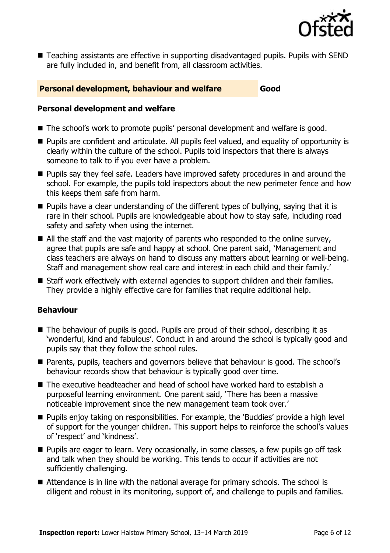

■ Teaching assistants are effective in supporting disadvantaged pupils. Pupils with SEND are fully included in, and benefit from, all classroom activities.

#### **Personal development, behaviour and welfare Good**

#### **Personal development and welfare**

- The school's work to promote pupils' personal development and welfare is good.
- Pupils are confident and articulate. All pupils feel valued, and equality of opportunity is clearly within the culture of the school. Pupils told inspectors that there is always someone to talk to if you ever have a problem.
- Pupils say they feel safe. Leaders have improved safety procedures in and around the school. For example, the pupils told inspectors about the new perimeter fence and how this keeps them safe from harm.
- Pupils have a clear understanding of the different types of bullying, saying that it is rare in their school. Pupils are knowledgeable about how to stay safe, including road safety and safety when using the internet.
- $\blacksquare$  All the staff and the vast majority of parents who responded to the online survey, agree that pupils are safe and happy at school. One parent said, 'Management and class teachers are always on hand to discuss any matters about learning or well-being. Staff and management show real care and interest in each child and their family.'
- Staff work effectively with external agencies to support children and their families. They provide a highly effective care for families that require additional help.

### **Behaviour**

- The behaviour of pupils is good. Pupils are proud of their school, describing it as 'wonderful, kind and fabulous'. Conduct in and around the school is typically good and pupils say that they follow the school rules.
- Parents, pupils, teachers and governors believe that behaviour is good. The school's behaviour records show that behaviour is typically good over time.
- The executive headteacher and head of school have worked hard to establish a purposeful learning environment. One parent said, 'There has been a massive noticeable improvement since the new management team took over.'
- Pupils enjoy taking on responsibilities. For example, the 'Buddies' provide a high level of support for the younger children. This support helps to reinforce the school's values of 'respect' and 'kindness'.
- Pupils are eager to learn. Very occasionally, in some classes, a few pupils go off task and talk when they should be working. This tends to occur if activities are not sufficiently challenging.
- Attendance is in line with the national average for primary schools. The school is diligent and robust in its monitoring, support of, and challenge to pupils and families.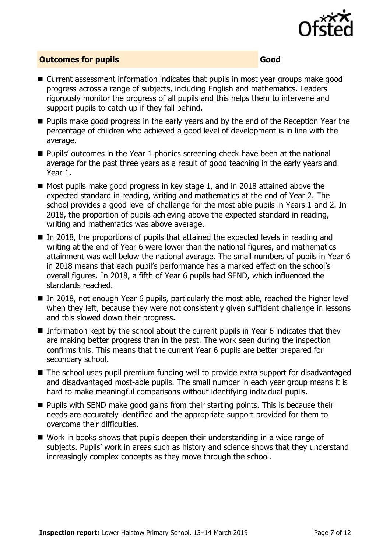

#### **Outcomes for pupils Good**

- Current assessment information indicates that pupils in most year groups make good progress across a range of subjects, including English and mathematics. Leaders rigorously monitor the progress of all pupils and this helps them to intervene and support pupils to catch up if they fall behind.
- Pupils make good progress in the early years and by the end of the Reception Year the percentage of children who achieved a good level of development is in line with the average.
- Pupils' outcomes in the Year 1 phonics screening check have been at the national average for the past three years as a result of good teaching in the early years and Year 1.
- Most pupils make good progress in key stage 1, and in 2018 attained above the expected standard in reading, writing and mathematics at the end of Year 2. The school provides a good level of challenge for the most able pupils in Years 1 and 2. In 2018, the proportion of pupils achieving above the expected standard in reading, writing and mathematics was above average.
- $\blacksquare$  In 2018, the proportions of pupils that attained the expected levels in reading and writing at the end of Year 6 were lower than the national figures, and mathematics attainment was well below the national average. The small numbers of pupils in Year 6 in 2018 means that each pupil's performance has a marked effect on the school's overall figures. In 2018, a fifth of Year 6 pupils had SEND, which influenced the standards reached.
- In 2018, not enough Year 6 pupils, particularly the most able, reached the higher level when they left, because they were not consistently given sufficient challenge in lessons and this slowed down their progress.
- Information kept by the school about the current pupils in Year 6 indicates that they are making better progress than in the past. The work seen during the inspection confirms this. This means that the current Year 6 pupils are better prepared for secondary school.
- The school uses pupil premium funding well to provide extra support for disadvantaged and disadvantaged most-able pupils. The small number in each year group means it is hard to make meaningful comparisons without identifying individual pupils.
- Pupils with SEND make good gains from their starting points. This is because their needs are accurately identified and the appropriate support provided for them to overcome their difficulties.
- Work in books shows that pupils deepen their understanding in a wide range of subjects. Pupils' work in areas such as history and science shows that they understand increasingly complex concepts as they move through the school.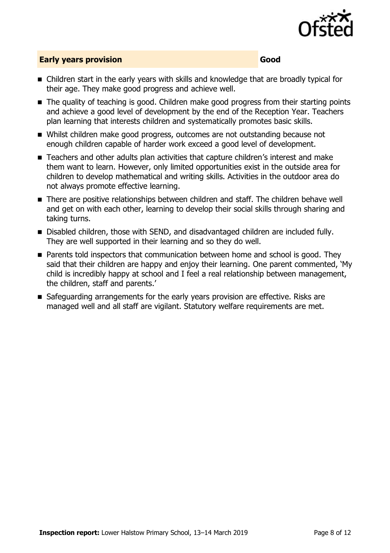

### **Early years provision Good Good**

- Children start in the early years with skills and knowledge that are broadly typical for their age. They make good progress and achieve well.
- The quality of teaching is good. Children make good progress from their starting points and achieve a good level of development by the end of the Reception Year. Teachers plan learning that interests children and systematically promotes basic skills.
- Whilst children make good progress, outcomes are not outstanding because not enough children capable of harder work exceed a good level of development.
- Teachers and other adults plan activities that capture children's interest and make them want to learn. However, only limited opportunities exist in the outside area for children to develop mathematical and writing skills. Activities in the outdoor area do not always promote effective learning.
- There are positive relationships between children and staff. The children behave well and get on with each other, learning to develop their social skills through sharing and taking turns.
- Disabled children, those with SEND, and disadvantaged children are included fully. They are well supported in their learning and so they do well.
- Parents told inspectors that communication between home and school is good. They said that their children are happy and enjoy their learning. One parent commented, 'My child is incredibly happy at school and I feel a real relationship between management, the children, staff and parents.'
- Safeguarding arrangements for the early years provision are effective. Risks are managed well and all staff are vigilant. Statutory welfare requirements are met.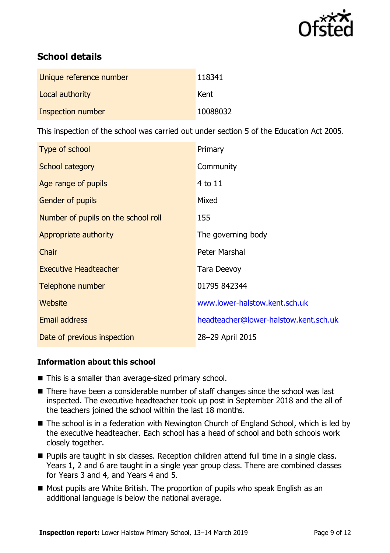

# **School details**

| Unique reference number | 118341   |
|-------------------------|----------|
| Local authority         | Kent     |
| Inspection number       | 10088032 |

This inspection of the school was carried out under section 5 of the Education Act 2005.

| Type of school                      | Primary                               |
|-------------------------------------|---------------------------------------|
| <b>School category</b>              | Community                             |
| Age range of pupils                 | 4 to 11                               |
| Gender of pupils                    | Mixed                                 |
| Number of pupils on the school roll | 155                                   |
| Appropriate authority               | The governing body                    |
| Chair                               | Peter Marshal                         |
| <b>Executive Headteacher</b>        | <b>Tara Deevoy</b>                    |
| Telephone number                    | 01795 842344                          |
| Website                             | www.lower-halstow.kent.sch.uk         |
| <b>Email address</b>                | headteacher@lower-halstow.kent.sch.uk |
| Date of previous inspection         | 28-29 April 2015                      |

### **Information about this school**

- This is a smaller than average-sized primary school.
- There have been a considerable number of staff changes since the school was last inspected. The executive headteacher took up post in September 2018 and the all of the teachers joined the school within the last 18 months.
- The school is in a federation with Newington Church of England School, which is led by the executive headteacher. Each school has a head of school and both schools work closely together.
- Pupils are taught in six classes. Reception children attend full time in a single class. Years 1, 2 and 6 are taught in a single year group class. There are combined classes for Years 3 and 4, and Years 4 and 5.
- Most pupils are White British. The proportion of pupils who speak English as an additional language is below the national average.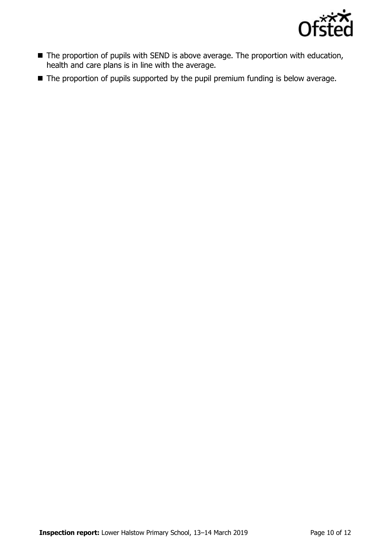

- The proportion of pupils with SEND is above average. The proportion with education, health and care plans is in line with the average.
- The proportion of pupils supported by the pupil premium funding is below average.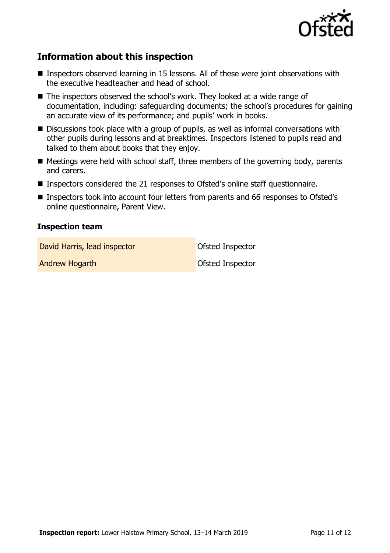

# **Information about this inspection**

- Inspectors observed learning in 15 lessons. All of these were joint observations with the executive headteacher and head of school.
- The inspectors observed the school's work. They looked at a wide range of documentation, including: safeguarding documents; the school's procedures for gaining an accurate view of its performance; and pupils' work in books.
- Discussions took place with a group of pupils, as well as informal conversations with other pupils during lessons and at breaktimes. Inspectors listened to pupils read and talked to them about books that they enjoy.
- Meetings were held with school staff, three members of the governing body, parents and carers.
- Inspectors considered the 21 responses to Ofsted's online staff questionnaire.
- Inspectors took into account four letters from parents and 66 responses to Ofsted's online questionnaire, Parent View.

#### **Inspection team**

David Harris, lead inspector **David Harris, lead inspector** 

Andrew Hogarth **Contract Contract Contract Contract Contract Contract Contract Contract Contract Contract Contract Contract Contract Contract Contract Contract Contract Contract Contract Contract Contract Contract Contract**